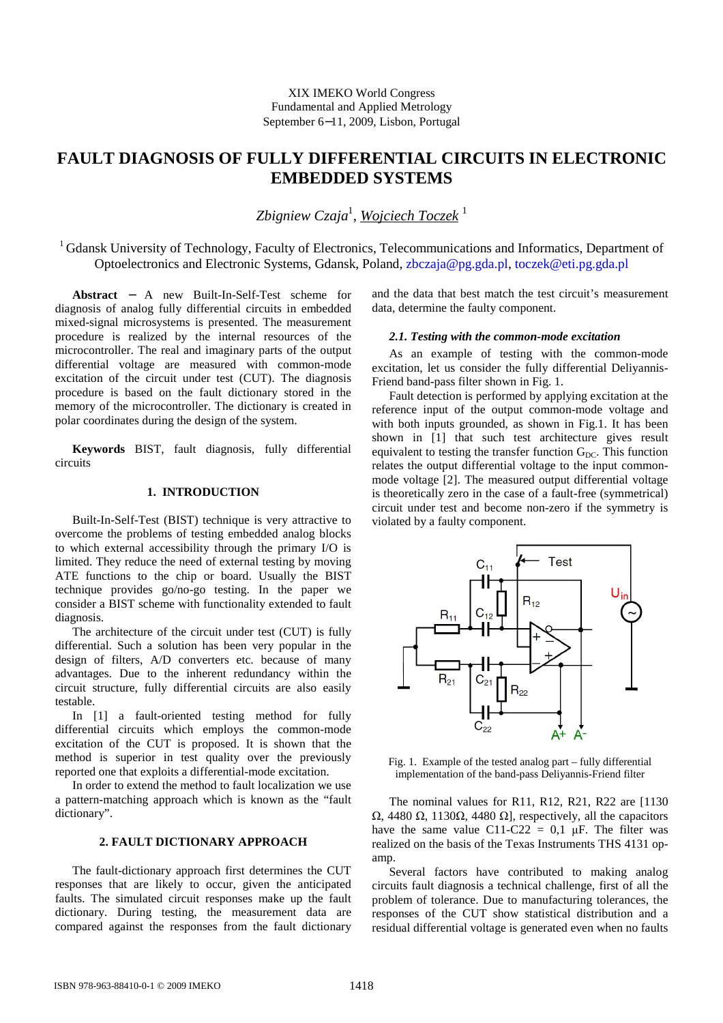# **FAULT DIAGNOSIS OF FULLY DIFFERENTIAL CIRCUITS IN ELECTRONIC EMBEDDED SYSTEMS**

*Zbigniew Czaja*<sup>1</sup> , *Wojciech Toczek* <sup>1</sup>

<sup>1</sup> Gdansk University of Technology, Faculty of Electronics, Telecommunications and Informatics, Department of Optoelectronics and Electronic Systems, Gdansk, Poland, zbczaja@pg.gda.pl, toczek@eti.pg.gda.pl

**Abstract** − A new Built-In-Self-Test scheme for diagnosis of analog fully differential circuits in embedded mixed-signal microsystems is presented. The measurement procedure is realized by the internal resources of the microcontroller. The real and imaginary parts of the output differential voltage are measured with common-mode excitation of the circuit under test (CUT). The diagnosis procedure is based on the fault dictionary stored in the memory of the microcontroller. The dictionary is created in polar coordinates during the design of the system.

**Keywords** BIST, fault diagnosis, fully differential circuits

## **1. INTRODUCTION**

Built-In-Self-Test (BIST) technique is very attractive to overcome the problems of testing embedded analog blocks to which external accessibility through the primary I/O is limited. They reduce the need of external testing by moving ATE functions to the chip or board. Usually the BIST technique provides go/no-go testing. In the paper we consider a BIST scheme with functionality extended to fault diagnosis.

The architecture of the circuit under test (CUT) is fully differential. Such a solution has been very popular in the design of filters, A/D converters etc. because of many advantages. Due to the inherent redundancy within the circuit structure, fully differential circuits are also easily testable.

In [1] a fault-oriented testing method for fully differential circuits which employs the common-mode excitation of the CUT is proposed. It is shown that the method is superior in test quality over the previously reported one that exploits a differential-mode excitation.

In order to extend the method to fault localization we use a pattern-matching approach which is known as the "fault dictionary".

## **2. FAULT DICTIONARY APPROACH**

The fault-dictionary approach first determines the CUT responses that are likely to occur, given the anticipated faults. The simulated circuit responses make up the fault dictionary. During testing, the measurement data are compared against the responses from the fault dictionary and the data that best match the test circuit's measurement data, determine the faulty component.

## *2.1. Testing with the common-mode excitation*

As an example of testing with the common-mode excitation, let us consider the fully differential Deliyannis-Friend band-pass filter shown in Fig. 1.

Fault detection is performed by applying excitation at the reference input of the output common-mode voltage and with both inputs grounded, as shown in Fig.1. It has been shown in [1] that such test architecture gives result equivalent to testing the transfer function  $G_{DC}$ . This function relates the output differential voltage to the input commonmode voltage [2]. The measured output differential voltage is theoretically zero in the case of a fault-free (symmetrical) circuit under test and become non-zero if the symmetry is violated by a faulty component.



Fig. 1. Example of the tested analog part – fully differential implementation of the band-pass Deliyannis-Friend filter

The nominal values for R11, R12, R21, R22 are [1130 Ω, 4480 Ω, 1130Ω, 4480 Ω], respectively, all the capacitors have the same value C11-C22 = 0,1  $\mu$ F. The filter was realized on the basis of the Texas Instruments THS 4131 opamp.

Several factors have contributed to making analog circuits fault diagnosis a technical challenge, first of all the problem of tolerance. Due to manufacturing tolerances, the responses of the CUT show statistical distribution and a residual differential voltage is generated even when no faults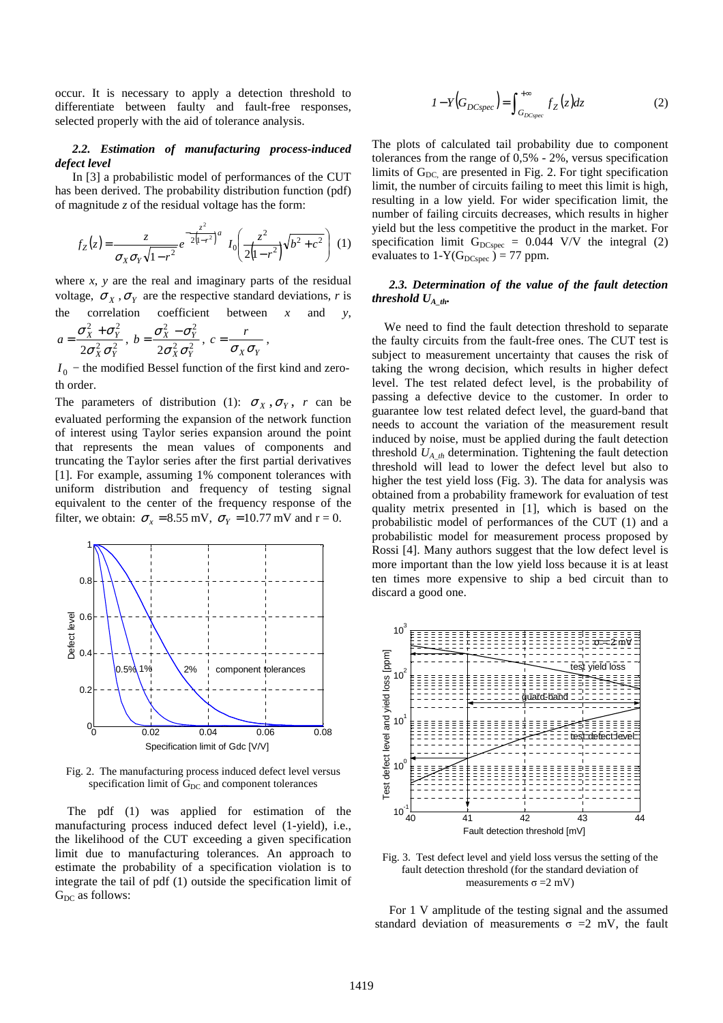occur. It is necessary to apply a detection threshold to differentiate between faulty and fault-free responses, selected properly with the aid of tolerance analysis.

## *2.2. Estimation of manufacturing process-induced defect level*

In [3] a probabilistic model of performances of the CUT has been derived. The probability distribution function (pdf) of magnitude *z* of the residual voltage has the form:

$$
f_Z(z) = \frac{z}{\sigma_X \sigma_Y \sqrt{1 - r^2}} e^{-\frac{z^2}{2(1 - r^2)}a} I_0\left(\frac{z^2}{2(1 - r^2)}\sqrt{b^2 + c^2}\right) (1)
$$

where *x*, *y* are the real and imaginary parts of the residual voltage,  $\sigma_X$ ,  $\sigma_Y$  are the respective standard deviations, *r* is the correlation coefficient between  $x$  and  $y$ ,  $\sigma_X^2 + \sigma_Y^2$  $\sigma_X^2 - \sigma_Y^2$ *r*

$$
a = \frac{\sigma_X + \sigma_Y}{2\sigma_X^2 \sigma_Y^2}, \ b = \frac{\sigma_X - \sigma_Y}{2\sigma_X^2 \sigma_Y^2}, \ c = \frac{\sigma_X}{\sigma_X \sigma_Y},
$$

 $I_0$  – the modified Bessel function of the first kind and zeroth order.

The parameters of distribution (1):  $\sigma_X, \sigma_Y, r$  can be evaluated performing the expansion of the network function of interest using Taylor series expansion around the point that represents the mean values of components and truncating the Taylor series after the first partial derivatives [1]. For example, assuming 1% component tolerances with uniform distribution and frequency of testing signal equivalent to the center of the frequency response of the filter, we obtain:  $\sigma_x = 8.55$  mV,  $\sigma_y = 10.77$  mV and r = 0.



Fig. 2. The manufacturing process induced defect level versus specification limit of  $G<sub>DC</sub>$  and component tolerances

 The pdf (1) was applied for estimation of the manufacturing process induced defect level (1-yield), i.e., the likelihood of the CUT exceeding a given specification limit due to manufacturing tolerances. An approach to estimate the probability of a specification violation is to integrate the tail of pdf (1) outside the specification limit of  $G_{DC}$  as follows:

$$
I - Y\left(G_{DCspec}\right) = \int_{G_{DCspec}}^{+\infty} f_Z(z) dz \tag{2}
$$

The plots of calculated tail probability due to component tolerances from the range of 0,5% - 2%, versus specification limits of  $G_{DC}$  are presented in Fig. 2. For tight specification limit, the number of circuits failing to meet this limit is high, resulting in a low yield. For wider specification limit, the number of failing circuits decreases, which results in higher yield but the less competitive the product in the market. For specification limit  $G_{DCspec} = 0.044$  V/V the integral (2) evaluates to 1-Y(G<sub>DCspec</sub>) = 77 ppm.

# *2.3. Determination of the value of the fault detection threshold UA\_th.*

We need to find the fault detection threshold to separate the faulty circuits from the fault-free ones. The CUT test is subject to measurement uncertainty that causes the risk of taking the wrong decision, which results in higher defect level. The test related defect level, is the probability of passing a defective device to the customer. In order to guarantee low test related defect level, the guard-band that needs to account the variation of the measurement result induced by noise, must be applied during the fault detection threshold  $U_{A_1}$  determination. Tightening the fault detection threshold will lead to lower the defect level but also to higher the test yield loss (Fig. 3). The data for analysis was obtained from a probability framework for evaluation of test quality metrix presented in [1], which is based on the probabilistic model of performances of the CUT (1) and a probabilistic model for measurement process proposed by Rossi [4]. Many authors suggest that the low defect level is more important than the low yield loss because it is at least ten times more expensive to ship a bed circuit than to discard a good one.



Fig. 3. Test defect level and yield loss versus the setting of the fault detection threshold (for the standard deviation of measurements  $\sigma = 2$  mV)

For 1 V amplitude of the testing signal and the assumed standard deviation of measurements  $\sigma = 2$  mV, the fault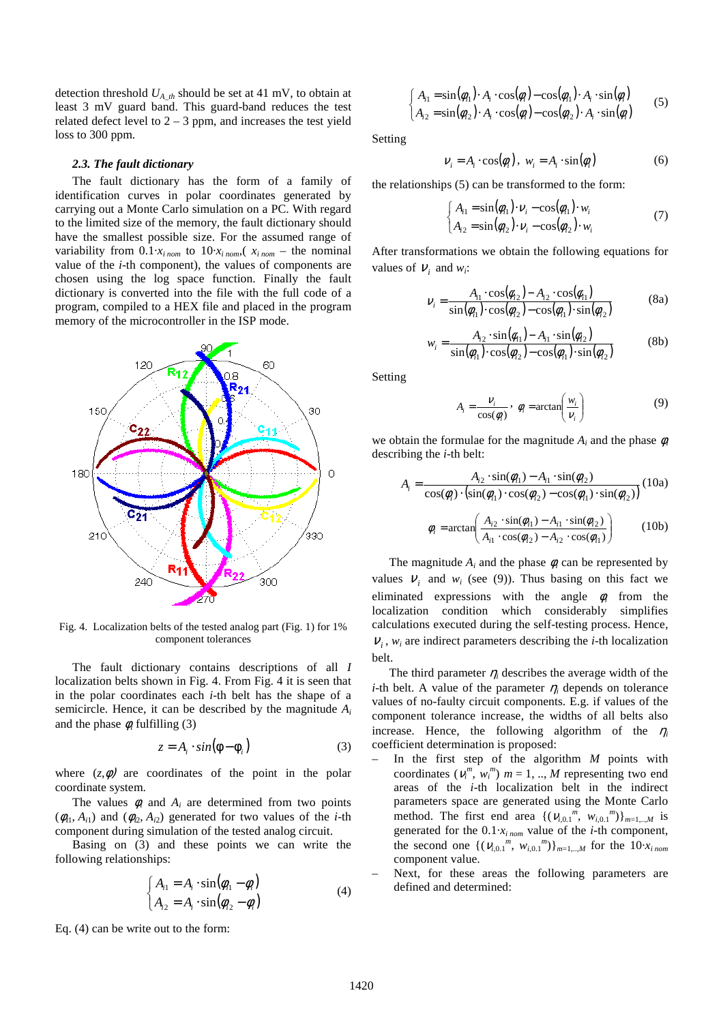detection threshold *UA\_th* should be set at 41 mV, to obtain at least 3 mV guard band. This guard-band reduces the test related defect level to  $2 - 3$  ppm, and increases the test yield loss to 300 ppm.

## *2.3. The fault dictionary*

The fault dictionary has the form of a family of identification curves in polar coordinates generated by carrying out a Monte Carlo simulation on a PC. With regard to the limited size of the memory, the fault dictionary should have the smallest possible size. For the assumed range of variability from  $0.1 \cdot x_{i\ nom}$  to  $10 \cdot x_{i\ nom}$ ,  $x_{i\ nom}$  – the nominal value of the *i*-th component), the values of components are chosen using the log space function. Finally the fault dictionary is converted into the file with the full code of a program, compiled to a HEX file and placed in the program memory of the microcontroller in the ISP mode.



Fig. 4. Localization belts of the tested analog part (Fig. 1) for 1% component tolerances

The fault dictionary contains descriptions of all *I* localization belts shown in Fig. 4. From Fig. 4 it is seen that in the polar coordinates each *i*-th belt has the shape of a semicircle. Hence, it can be described by the magnitude *A<sup>i</sup>* and the phase  $\phi_i$  fulfilling (3)

$$
z = A_i \cdot \sin(\phi - \phi_i) \tag{3}
$$

where  $(z, \phi)$  are coordinates of the point in the polar coordinate system.

The values  $\phi_i$  and  $A_i$  are determined from two points  $(\phi_{d1}, A_{i1})$  and  $(\phi_{l2}, A_{l2})$  generated for two values of the *i*-th component during simulation of the tested analog circuit.

Basing on (3) and these points we can write the following relationships:

$$
\begin{cases}\nA_{i1} = A_i \cdot \sin(\phi_{i1} - \phi_i) \\
A_{i2} = A_i \cdot \sin(\phi_{i2} - \phi_i)\n\end{cases} (4)
$$

Eq. (4) can be write out to the form:

$$
\begin{cases}\nA_{i1} = \sin(\phi_{i1}) \cdot A_i \cdot \cos(\phi_i) - \cos(\phi_{i1}) \cdot A_i \cdot \sin(\phi_i) \\
A_{i2} = \sin(\phi_{i2}) \cdot A_i \cdot \cos(\phi_i) - \cos(\phi_{i2}) \cdot A_i \cdot \sin(\phi_i)\n\end{cases} (5)
$$

Setting

$$
V_i = A_i \cdot \cos(\phi_i), \ w_i = A_i \cdot \sin(\phi_i)
$$
 (6)

the relationships (5) can be transformed to the form:

$$
\begin{cases}\nA_{i1} = \sin(\phi_{i1}) \cdot \nu_i - \cos(\phi_{i1}) \cdot w_i \\
A_{i2} = \sin(\phi_{i2}) \cdot \nu_i - \cos(\phi_{i2}) \cdot w_i\n\end{cases} (7)
$$

After transformations we obtain the following equations for values of  $V_i$  and  $w_i$ :

$$
V_i = \frac{A_{i1} \cdot \cos(\phi_{i2}) - A_{i2} \cdot \cos(\phi_{i1})}{\sin(\phi_{i1}) \cdot \cos(\phi_{i2}) - \cos(\phi_{i1}) \cdot \sin(\phi_{i2})}
$$
(8a)

$$
w_i = \frac{A_{i2} \cdot \sin(\phi_{i1}) - A_{i1} \cdot \sin(\phi_{i2})}{\sin(\phi_{i1}) \cdot \cos(\phi_{i2}) - \cos(\phi_{i1}) \cdot \sin(\phi_{i2})}
$$
(8b)

Setting

$$
A_i = \frac{V_i}{\cos(\phi_i)}, \ \phi_i = \arctan\left(\frac{w_i}{V_i}\right) \tag{9}
$$

we obtain the formulae for the magnitude  $A_i$  and the phase  $\phi_i$ describing the *i*-th belt:

$$
A_{i} = \frac{A_{i2} \cdot \sin(\phi_{i1}) - A_{i1} \cdot \sin(\phi_{i2})}{\cos(\phi_{i}) \cdot (\sin(\phi_{i1}) \cdot \cos(\phi_{i2}) - \cos(\phi_{i1}) \cdot \sin(\phi_{i2}))} (10a)
$$

$$
\phi_{i} = \arctan\left(\frac{A_{i2} \cdot \sin(\phi_{i1}) - A_{i1} \cdot \sin(\phi_{i2})}{A_{i1} \cdot \cos(\phi_{i2}) - A_{i2} \cdot \cos(\phi_{i1})}\right) (10b)
$$

The magnitude  $A_i$  and the phase  $\phi_i$  can be represented by values  $V_i$  and  $W_i$  (see (9)). Thus basing on this fact we eliminated expressions with the angle  $\phi_i$  from the localization condition which considerably simplifies calculations executed during the self-testing process. Hence,  $V_i$ ,  $W_i$  are indirect parameters describing the *i*-th localization belt.

The third parameter  $\eta_i$  describes the average width of the *i*-th belt. A value of the parameter  $\eta_i$  depends on tolerance values of no-faulty circuit components. E.g. if values of the component tolerance increase, the widths of all belts also increase. Hence, the following algorithm of the  $\eta_i$ coefficient determination is proposed:

- In the first step of the algorithm *M* points with coordinates  $(v_i^m, w_i^m)$   $m = 1, ..., M$  representing two end areas of the *i*-th localization belt in the indirect parameters space are generated using the Monte Carlo method. The first end area  $\{ (v_{i,0,1}^m, w_{i,0,1}^m) \}_{m=1,..,M}$  is generated for the 0.1·*xi nom* value of the *i*-th component, the second one  $\{(v_{i,0,1}^m, w_{i,0,1}^m)\}_{m=1, ..., M}$  for the  $10 \cdot x_{i \text{ nom}}$ component value.
- Next, for these areas the following parameters are defined and determined: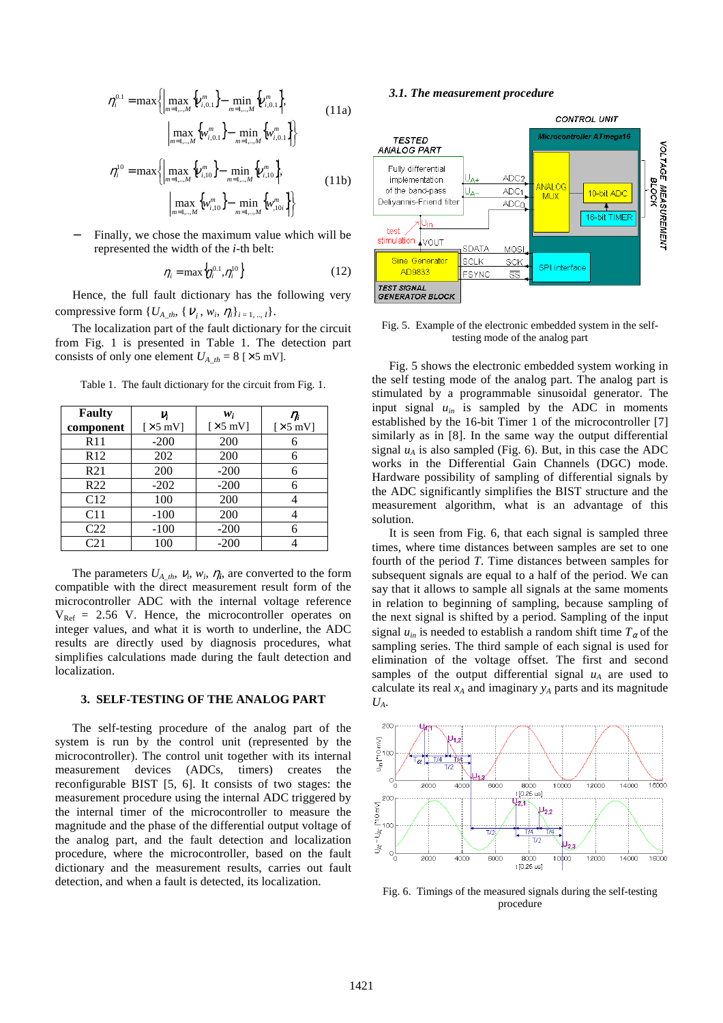$$
\eta_{i}^{0.1} = \max \left\{ \left| \max_{m=1,...,M} \left\{ v_{i,0.1}^{m} \right\} - \min_{m=1,...,M} \left\{ v_{i,0.1}^{m} \right\}, \right\}\left| \max_{m=1,...,M} \left\{ w_{i,0.1}^{m} \right\} - \min_{m=1,...,M} \left\{ w_{i,0.1}^{m} \right\} \right\}\n\eta_{i}^{10} = \max \left\{ \left| \max_{m=1,...,M} \left\{ v_{i,10}^{m} \right\} - \min_{m=1,...,M} \left\{ v_{i,10}^{m} \right\}, \right\}\left| \max_{m=1,...,M} \left\{ w_{i,10}^{m} \right\} - \min_{m=1,...,M} \left\{ w_{i,10}^{m} \right\} \right\} \right\}
$$
\n(11b)

Finally, we chose the maximum value which will be represented the width of the *i*-th belt:

$$
\eta_i = \max\left\{\eta_i^{0.1}, \eta_i^{10}\right\} \tag{12}
$$

Hence, the full fault dictionary has the following very compressive form  $\{U_{A\_th}, \{V_i, w_i, \eta_i\}_{i=1, ..., I}\}.$ 

The localization part of the fault dictionary for the circuit from Fig. 1 is presented in Table 1. The detection part consists of only one element  $U_{A_th} = 8$  [ $\times$ 5 mV].

| <b>Faulty</b>   | V;                                 | $w_i$                              | $\eta_i$         |
|-----------------|------------------------------------|------------------------------------|------------------|
| component       | $\left[\times 5 \text{ mV}\right]$ | $\left[\times 5 \text{ mV}\right]$ | [ $\times$ 5 mV] |
| R11             | $-200$                             | 200                                | 6                |
| R12             | 202                                | 200                                | б                |
| R <sub>21</sub> | 200                                | $-200$                             | 6                |
| R <sub>22</sub> | $-202$                             | $-200$                             | 6                |
| C12             | 100                                | 200                                |                  |
| C11             | $-100$                             | 200                                |                  |
| C <sub>22</sub> | $-100$                             | $-200$                             | 6                |
| C <sub>21</sub> | 100                                | $-200$                             |                  |

Table 1. The fault dictionary for the circuit from Fig. 1.

The parameters  $U_{A_t}$ ,  $V_i$ ,  $W_i$ ,  $\eta_i$ , are converted to the form compatible with the direct measurement result form of the microcontroller ADC with the internal voltage reference  $V_{Ref}$  = 2.56 V. Hence, the microcontroller operates on integer values, and what it is worth to underline, the ADC results are directly used by diagnosis procedures, what simplifies calculations made during the fault detection and localization.

# **3. SELF-TESTING OF THE ANALOG PART**

The self-testing procedure of the analog part of the system is run by the control unit (represented by the microcontroller). The control unit together with its internal measurement devices (ADCs, timers) creates the reconfigurable BIST [5, 6]. It consists of two stages: the measurement procedure using the internal ADC triggered by the internal timer of the microcontroller to measure the magnitude and the phase of the differential output voltage of the analog part, and the fault detection and localization procedure, where the microcontroller, based on the fault dictionary and the measurement results, carries out fault detection, and when a fault is detected, its localization.

#### *3.1. The measurement procedure*



#### Fig. 5. Example of the electronic embedded system in the selftesting mode of the analog part

Fig. 5 shows the electronic embedded system working in the self testing mode of the analog part. The analog part is stimulated by a programmable sinusoidal generator. The input signal  $u_{in}$  is sampled by the ADC in moments established by the 16-bit Timer 1 of the microcontroller [7] similarly as in [8]. In the same way the output differential signal  $u_A$  is also sampled (Fig. 6). But, in this case the ADC works in the Differential Gain Channels (DGC) mode. Hardware possibility of sampling of differential signals by the ADC significantly simplifies the BIST structure and the measurement algorithm, what is an advantage of this solution.

It is seen from Fig. 6, that each signal is sampled three times, where time distances between samples are set to one fourth of the period *T*. Time distances between samples for subsequent signals are equal to a half of the period. We can say that it allows to sample all signals at the same moments in relation to beginning of sampling, because sampling of the next signal is shifted by a period. Sampling of the input signal  $u_{in}$  is needed to establish a random shift time  $T_{\alpha}$  of the sampling series. The third sample of each signal is used for elimination of the voltage offset. The first and second samples of the output differential signal  $u_A$  are used to calculate its real  $x_A$  and imaginary  $y_A$  parts and its magnitude *UA*.



Fig. 6. Timings of the measured signals during the self-testing procedure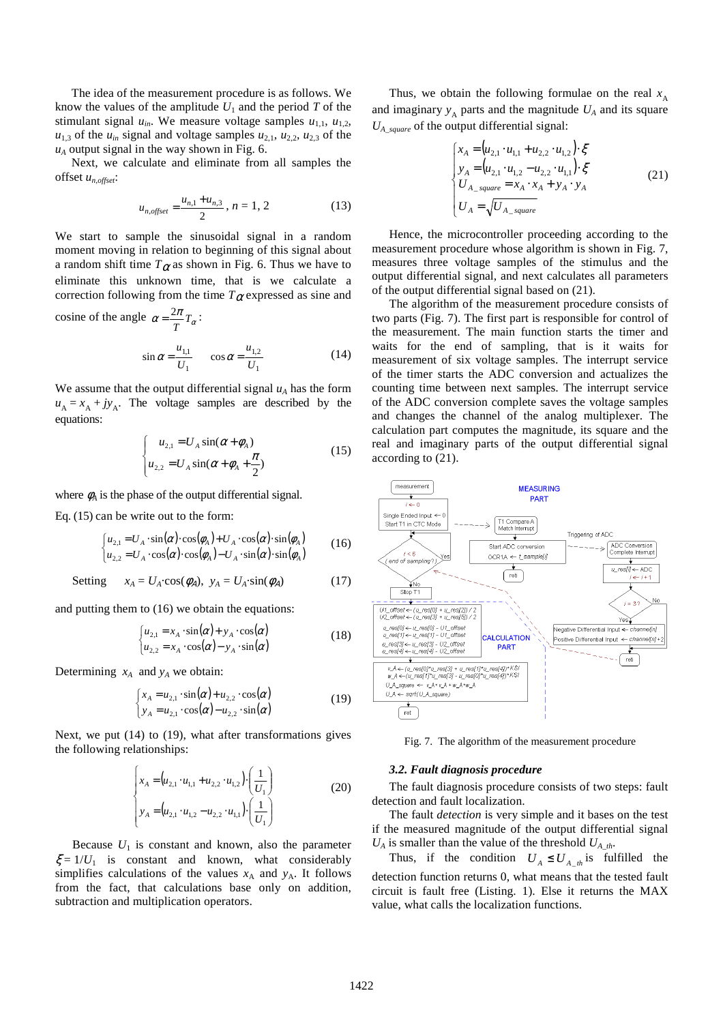The idea of the measurement procedure is as follows. We know the values of the amplitude  $U_1$  and the period  $T$  of the stimulant signal  $u_{in}$ . We measure voltage samples  $u_{1,1}$ ,  $u_{1,2}$ ,  $u_{1,3}$  of the  $u_{in}$  signal and voltage samples  $u_{2,1}$ ,  $u_{2,2}$ ,  $u_{2,3}$  of the  $u_A$  output signal in the way shown in Fig. 6.

Next, we calculate and eliminate from all samples the offset *un,offset*:

$$
u_{n,offset} = \frac{u_{n,1} + u_{n,3}}{2}, n = 1, 2
$$
 (13)

We start to sample the sinusoidal signal in a random moment moving in relation to beginning of this signal about a random shift time  $T_{\alpha}$  as shown in Fig. 6. Thus we have to eliminate this unknown time, that is we calculate a correction following from the time  $T_{\alpha}$  expressed as sine and

cosine of the angle  $\alpha = \frac{2\pi}{T}T_{\alpha}$  $=\frac{2\pi}{\pi}T_{\alpha}$ :

$$
\sin \alpha = \frac{u_{1,1}}{U_1} \qquad \cos \alpha = \frac{u_{1,2}}{U_1} \tag{14}
$$

We assume that the output differential signal  $u_A$  has the form  $u_A = x_A + jy_A$ . The voltage samples are described by the equations:

$$
\begin{cases}\n u_{2,1} = U_A \sin(\alpha + \phi_A) \\
 u_{2,2} = U_A \sin(\alpha + \phi_A + \frac{\pi}{2})\n\end{cases}
$$
\n(15)

where  $\phi_A$  is the phase of the output differential signal.

Eq. (15) can be write out to the form:

$$
\begin{cases}\n u_{2,1} = U_A \cdot \sin(\alpha) \cdot \cos(\phi_A) + U_A \cdot \cos(\alpha) \cdot \sin(\phi_A) \\
 u_{2,2} = U_A \cdot \cos(\alpha) \cdot \cos(\phi_A) - U_A \cdot \sin(\alpha) \cdot \sin(\phi_A)\n\end{cases}
$$
\n(16)

Setting  $x_A = U_A \cdot \cos(\phi_A), y_A = U_A \cdot \sin(\phi_A)$  (17)

and putting them to (16) we obtain the equations:

$$
\begin{cases}\n u_{2,1} = x_A \cdot \sin(\alpha) + y_A \cdot \cos(\alpha) \\
 u_{2,2} = x_A \cdot \cos(\alpha) - y_A \cdot \sin(\alpha)\n\end{cases}
$$
\n(18)

Determining  $x_A$  and  $y_A$  we obtain:

$$
\begin{cases} x_A = u_{2,1} \cdot \sin(\alpha) + u_{2,2} \cdot \cos(\alpha) \\ y_A = u_{2,1} \cdot \cos(\alpha) - u_{2,2} \cdot \sin(\alpha) \end{cases}
$$
 (19)

Next, we put (14) to (19), what after transformations gives the following relationships:

$$
\begin{cases} x_A = (u_{2,1} \cdot u_{1,1} + u_{2,2} \cdot u_{1,2}) \cdot \left(\frac{1}{U_1}\right) \\ y_A = (u_{2,1} \cdot u_{1,2} - u_{2,2} \cdot u_{1,1}) \cdot \left(\frac{1}{U_1}\right) \end{cases}
$$
 (20)

Because  $U_1$  is constant and known, also the parameter  $\xi = 1/U_1$  is constant and known, what considerably simplifies calculations of the values  $x_A$  and  $y_A$ . It follows from the fact, that calculations base only on addition, subtraction and multiplication operators.

Thus, we obtain the following formulae on the real *x* A and imaginary  $y_A$  parts and the magnitude  $U_A$  and its square *UA\_square* of the output differential signal:

$$
\begin{cases}\n x_A = (u_{2,1} \cdot u_{1,1} + u_{2,2} \cdot u_{1,2}) \cdot \xi \\
 y_A = (u_{2,1} \cdot u_{1,2} - u_{2,2} \cdot u_{1,1}) \cdot \xi \\
 U_{A\_square} = x_A \cdot x_A + y_A \cdot y_A \\
 U_A = \sqrt{U_{A\_square}}\n\end{cases} (21)
$$

Hence, the microcontroller proceeding according to the measurement procedure whose algorithm is shown in Fig. 7, measures three voltage samples of the stimulus and the output differential signal, and next calculates all parameters of the output differential signal based on (21).

The algorithm of the measurement procedure consists of two parts (Fig. 7). The first part is responsible for control of the measurement. The main function starts the timer and waits for the end of sampling, that is it waits for measurement of six voltage samples. The interrupt service of the timer starts the ADC conversion and actualizes the counting time between next samples. The interrupt service of the ADC conversion complete saves the voltage samples and changes the channel of the analog multiplexer. The calculation part computes the magnitude, its square and the real and imaginary parts of the output differential signal according to (21).



Fig. 7. The algorithm of the measurement procedure

#### *3.2. Fault diagnosis procedure*

The fault diagnosis procedure consists of two steps: fault detection and fault localization.

The fault *detection* is very simple and it bases on the test if the measured magnitude of the output differential signal  $U_A$  is smaller than the value of the threshold  $U_{A}$ <sub>th</sub>.

Thus, if the condition  $U_A \leq U_A$ <sub>*th*</sub> is fulfilled the detection function returns 0, what means that the tested fault circuit is fault free (Listing. 1). Else it returns the MAX value, what calls the localization functions.